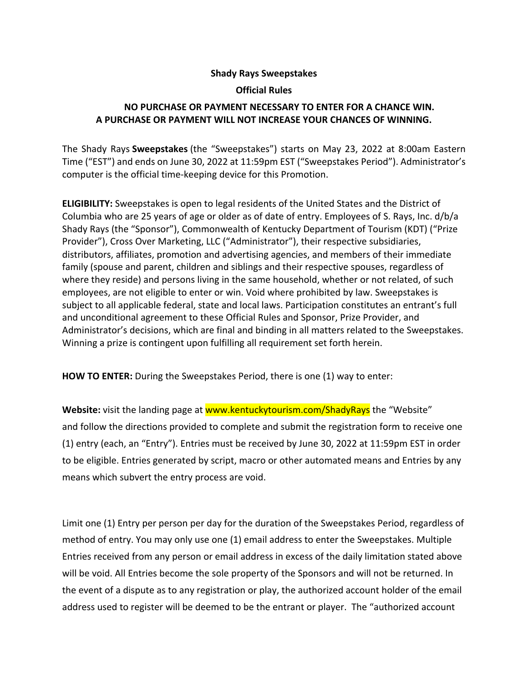#### **Shady Rays Sweepstakes**

#### **Official Rules**

#### **NO PURCHASE OR PAYMENT NECESSARY TO ENTER FOR A CHANCE WIN. A PURCHASE OR PAYMENT WILL NOT INCREASE YOUR CHANCES OF WINNING.**

The Shady Rays **Sweepstakes** (the "Sweepstakes") starts on May 23, 2022 at 8:00am Eastern Time ("EST") and ends on June 30, 2022 at 11:59pm EST ("Sweepstakes Period"). Administrator's computer is the official time-keeping device for this Promotion.

**ELIGIBILITY:** Sweepstakes is open to legal residents of the United States and the District of Columbia who are 25 years of age or older as of date of entry. Employees of S. Rays, Inc. d/b/a Shady Rays (the "Sponsor"), Commonwealth of Kentucky Department of Tourism (KDT) ("Prize Provider"), Cross Over Marketing, LLC ("Administrator"), their respective subsidiaries, distributors, affiliates, promotion and advertising agencies, and members of their immediate family (spouse and parent, children and siblings and their respective spouses, regardless of where they reside) and persons living in the same household, whether or not related, of such employees, are not eligible to enter or win. Void where prohibited by law. Sweepstakes is subject to all applicable federal, state and local laws. Participation constitutes an entrant's full and unconditional agreement to these Official Rules and Sponsor, Prize Provider, and Administrator's decisions, which are final and binding in all matters related to the Sweepstakes. Winning a prize is contingent upon fulfilling all requirement set forth herein.

**HOW TO ENTER:** During the Sweepstakes Period, there is one (1) way to enter:

**Website:** visit the landing page at www.kentuckytourism.com/ShadyRays the "Website" and follow the directions provided to complete and submit the registration form to receive one (1) entry (each, an "Entry"). Entries must be received by June 30, 2022 at 11:59pm EST in order to be eligible. Entries generated by script, macro or other automated means and Entries by any means which subvert the entry process are void.

Limit one (1) Entry per person per day for the duration of the Sweepstakes Period, regardless of method of entry. You may only use one (1) email address to enter the Sweepstakes. Multiple Entries received from any person or email address in excess of the daily limitation stated above will be void. All Entries become the sole property of the Sponsors and will not be returned. In the event of a dispute as to any registration or play, the authorized account holder of the email address used to register will be deemed to be the entrant or player. The "authorized account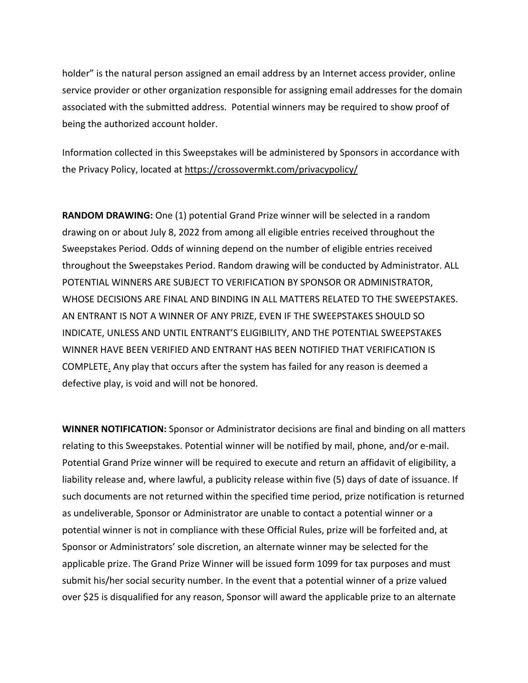holder" is the natural person assigned an email address by an Internet access provider, online service provider or other organization responsible for assigning email addresses for the domain associated with the submitted address. Potential winners may be required to show proof of being the authorized account holder.

Information collected in this Sweepstakes will be administered by Sponsors in accordance with the Privacy Policy, located at https://crossovermkt.com/privacypolicy/

**RANDOM DRAWING:** One (1) potential Grand Prize winner will be selected in a random drawing on or about July 8, 2022 from among all eligible entries received throughout the Sweepstakes Period. Odds of winning depend on the number of eligible entries received throughout the Sweepstakes Period. Random drawing will be conducted by Administrator. ALL POTENTIAL WINNERS ARE SUBJECT TO VERIFICATION BY SPONSOR OR ADMINISTRATOR, WHOSE DECISIONS ARE FINAL AND BINDING IN ALL MATTERS RELATED TO THE SWEEPSTAKES. AN ENTRANT IS NOT A WINNER OF ANY PRIZE, EVEN IF THE SWEEPSTAKES SHOULD SO INDICATE, UNLESS AND UNTIL ENTRANT'S ELIGIBILITY, AND THE POTENTIAL SWEEPSTAKES WINNER HAVE BEEN VERIFIED AND ENTRANT HAS BEEN NOTIFIED THAT VERIFICATION IS COMPLETE. Any play that occurs after the system has failed for any reason is deemed a defective play, is void and will not be honored.

**WINNER NOTIFICATION:** Sponsor or Administrator decisions are final and binding on all matters relating to this Sweepstakes. Potential winner will be notified by mail, phone, and/or e-mail. Potential Grand Prize winner will be required to execute and return an affidavit of eligibility, a liability release and, where lawful, a publicity release within five (5) days of date of issuance. If such documents are not returned within the specified time period, prize notification is returned as undeliverable, Sponsor or Administrator are unable to contact a potential winner or a potential winner is not in compliance with these Official Rules, prize will be forfeited and, at Sponsor or Administrators' sole discretion, an alternate winner may be selected for the applicable prize. The Grand Prize Winner will be issued form 1099 for tax purposes and must submit his/her social security number. In the event that a potential winner of a prize valued over \$25 is disqualified for any reason, Sponsor will award the applicable prize to an alternate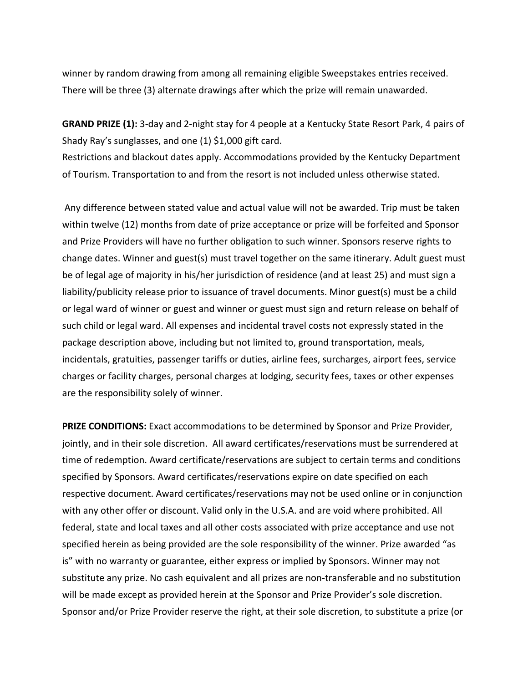winner by random drawing from among all remaining eligible Sweepstakes entries received. There will be three (3) alternate drawings after which the prize will remain unawarded.

**GRAND PRIZE (1):** 3-day and 2-night stay for 4 people at a Kentucky State Resort Park, 4 pairs of Shady Ray's sunglasses, and one (1) \$1,000 gift card.

Restrictions and blackout dates apply. Accommodations provided by the Kentucky Department of Tourism. Transportation to and from the resort is not included unless otherwise stated.

Any difference between stated value and actual value will not be awarded. Trip must be taken within twelve (12) months from date of prize acceptance or prize will be forfeited and Sponsor and Prize Providers will have no further obligation to such winner. Sponsors reserve rights to change dates. Winner and guest(s) must travel together on the same itinerary. Adult guest must be of legal age of majority in his/her jurisdiction of residence (and at least 25) and must sign a liability/publicity release prior to issuance of travel documents. Minor guest(s) must be a child or legal ward of winner or guest and winner or guest must sign and return release on behalf of such child or legal ward. All expenses and incidental travel costs not expressly stated in the package description above, including but not limited to, ground transportation, meals, incidentals, gratuities, passenger tariffs or duties, airline fees, surcharges, airport fees, service charges or facility charges, personal charges at lodging, security fees, taxes or other expenses are the responsibility solely of winner.

**PRIZE CONDITIONS:** Exact accommodations to be determined by Sponsor and Prize Provider, jointly, and in their sole discretion. All award certificates/reservations must be surrendered at time of redemption. Award certificate/reservations are subject to certain terms and conditions specified by Sponsors. Award certificates/reservations expire on date specified on each respective document. Award certificates/reservations may not be used online or in conjunction with any other offer or discount. Valid only in the U.S.A. and are void where prohibited. All federal, state and local taxes and all other costs associated with prize acceptance and use not specified herein as being provided are the sole responsibility of the winner. Prize awarded "as is" with no warranty or guarantee, either express or implied by Sponsors. Winner may not substitute any prize. No cash equivalent and all prizes are non-transferable and no substitution will be made except as provided herein at the Sponsor and Prize Provider's sole discretion. Sponsor and/or Prize Provider reserve the right, at their sole discretion, to substitute a prize (or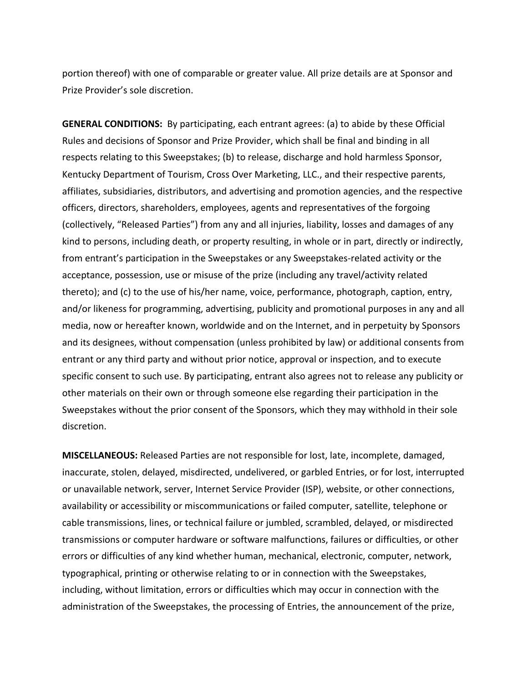portion thereof) with one of comparable or greater value. All prize details are at Sponsor and Prize Provider's sole discretion.

**GENERAL CONDITIONS:** By participating, each entrant agrees: (a) to abide by these Official Rules and decisions of Sponsor and Prize Provider, which shall be final and binding in all respects relating to this Sweepstakes; (b) to release, discharge and hold harmless Sponsor, Kentucky Department of Tourism, Cross Over Marketing, LLC., and their respective parents, affiliates, subsidiaries, distributors, and advertising and promotion agencies, and the respective officers, directors, shareholders, employees, agents and representatives of the forgoing (collectively, "Released Parties") from any and all injuries, liability, losses and damages of any kind to persons, including death, or property resulting, in whole or in part, directly or indirectly, from entrant's participation in the Sweepstakes or any Sweepstakes-related activity or the acceptance, possession, use or misuse of the prize (including any travel/activity related thereto); and (c) to the use of his/her name, voice, performance, photograph, caption, entry, and/or likeness for programming, advertising, publicity and promotional purposes in any and all media, now or hereafter known, worldwide and on the Internet, and in perpetuity by Sponsors and its designees, without compensation (unless prohibited by law) or additional consents from entrant or any third party and without prior notice, approval or inspection, and to execute specific consent to such use. By participating, entrant also agrees not to release any publicity or other materials on their own or through someone else regarding their participation in the Sweepstakes without the prior consent of the Sponsors, which they may withhold in their sole discretion.

**MISCELLANEOUS:** Released Parties are not responsible for lost, late, incomplete, damaged, inaccurate, stolen, delayed, misdirected, undelivered, or garbled Entries, or for lost, interrupted or unavailable network, server, Internet Service Provider (ISP), website, or other connections, availability or accessibility or miscommunications or failed computer, satellite, telephone or cable transmissions, lines, or technical failure or jumbled, scrambled, delayed, or misdirected transmissions or computer hardware or software malfunctions, failures or difficulties, or other errors or difficulties of any kind whether human, mechanical, electronic, computer, network, typographical, printing or otherwise relating to or in connection with the Sweepstakes, including, without limitation, errors or difficulties which may occur in connection with the administration of the Sweepstakes, the processing of Entries, the announcement of the prize,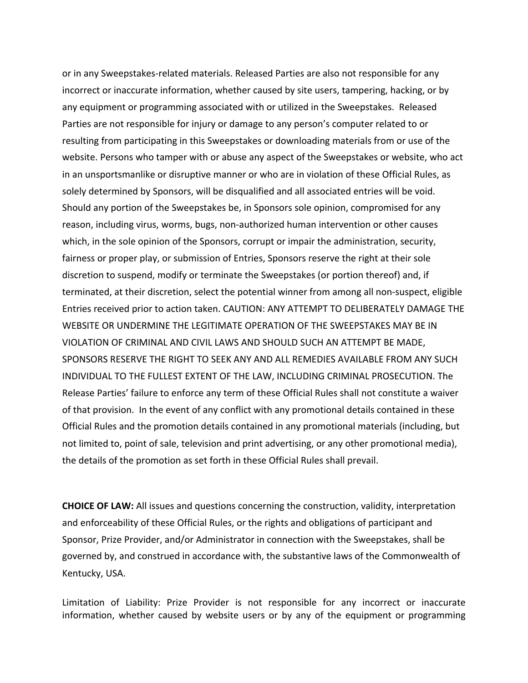or in any Sweepstakes-related materials. Released Parties are also not responsible for any incorrect or inaccurate information, whether caused by site users, tampering, hacking, or by any equipment or programming associated with or utilized in the Sweepstakes. Released Parties are not responsible for injury or damage to any person's computer related to or resulting from participating in this Sweepstakes or downloading materials from or use of the website. Persons who tamper with or abuse any aspect of the Sweepstakes or website, who act in an unsportsmanlike or disruptive manner or who are in violation of these Official Rules, as solely determined by Sponsors, will be disqualified and all associated entries will be void. Should any portion of the Sweepstakes be, in Sponsors sole opinion, compromised for any reason, including virus, worms, bugs, non-authorized human intervention or other causes which, in the sole opinion of the Sponsors, corrupt or impair the administration, security, fairness or proper play, or submission of Entries, Sponsors reserve the right at their sole discretion to suspend, modify or terminate the Sweepstakes (or portion thereof) and, if terminated, at their discretion, select the potential winner from among all non-suspect, eligible Entries received prior to action taken. CAUTION: ANY ATTEMPT TO DELIBERATELY DAMAGE THE WEBSITE OR UNDERMINE THE LEGITIMATE OPERATION OF THE SWEEPSTAKES MAY BE IN VIOLATION OF CRIMINAL AND CIVIL LAWS AND SHOULD SUCH AN ATTEMPT BE MADE, SPONSORS RESERVE THE RIGHT TO SEEK ANY AND ALL REMEDIES AVAILABLE FROM ANY SUCH INDIVIDUAL TO THE FULLEST EXTENT OF THE LAW, INCLUDING CRIMINAL PROSECUTION. The Release Parties' failure to enforce any term of these Official Rules shall not constitute a waiver of that provision. In the event of any conflict with any promotional details contained in these Official Rules and the promotion details contained in any promotional materials (including, but not limited to, point of sale, television and print advertising, or any other promotional media), the details of the promotion as set forth in these Official Rules shall prevail.

**CHOICE OF LAW:** All issues and questions concerning the construction, validity, interpretation and enforceability of these Official Rules, or the rights and obligations of participant and Sponsor, Prize Provider, and/or Administrator in connection with the Sweepstakes, shall be governed by, and construed in accordance with, the substantive laws of the Commonwealth of Kentucky, USA.

Limitation of Liability: Prize Provider is not responsible for any incorrect or inaccurate information, whether caused by website users or by any of the equipment or programming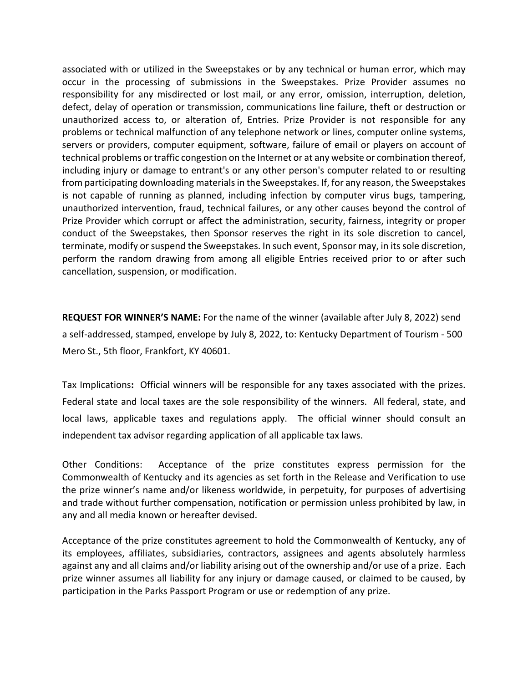associated with or utilized in the Sweepstakes or by any technical or human error, which may occur in the processing of submissions in the Sweepstakes. Prize Provider assumes no responsibility for any misdirected or lost mail, or any error, omission, interruption, deletion, defect, delay of operation or transmission, communications line failure, theft or destruction or unauthorized access to, or alteration of, Entries. Prize Provider is not responsible for any problems or technical malfunction of any telephone network or lines, computer online systems, servers or providers, computer equipment, software, failure of email or players on account of technical problems or traffic congestion on the Internet or at any website or combination thereof, including injury or damage to entrant's or any other person's computer related to or resulting from participating downloading materials in the Sweepstakes. If, for any reason, the Sweepstakes is not capable of running as planned, including infection by computer virus bugs, tampering, unauthorized intervention, fraud, technical failures, or any other causes beyond the control of Prize Provider which corrupt or affect the administration, security, fairness, integrity or proper conduct of the Sweepstakes, then Sponsor reserves the right in its sole discretion to cancel, terminate, modify or suspend the Sweepstakes. In such event, Sponsor may, in itssole discretion, perform the random drawing from among all eligible Entries received prior to or after such cancellation, suspension, or modification.

**REQUEST FOR WINNER'S NAME:** For the name of the winner (available after July 8, 2022) send a self-addressed, stamped, envelope by July 8, 2022, to: Kentucky Department of Tourism - 500 Mero St., 5th floor, Frankfort, KY 40601.

Tax Implications**:** Official winners will be responsible for any taxes associated with the prizes. Federal state and local taxes are the sole responsibility of the winners. All federal, state, and local laws, applicable taxes and regulations apply. The official winner should consult an independent tax advisor regarding application of all applicable tax laws.

Other Conditions: Acceptance of the prize constitutes express permission for the Commonwealth of Kentucky and its agencies as set forth in the Release and Verification to use the prize winner's name and/or likeness worldwide, in perpetuity, for purposes of advertising and trade without further compensation, notification or permission unless prohibited by law, in any and all media known or hereafter devised.

Acceptance of the prize constitutes agreement to hold the Commonwealth of Kentucky, any of its employees, affiliates, subsidiaries, contractors, assignees and agents absolutely harmless against any and all claims and/or liability arising out of the ownership and/or use of a prize. Each prize winner assumes all liability for any injury or damage caused, or claimed to be caused, by participation in the Parks Passport Program or use or redemption of any prize.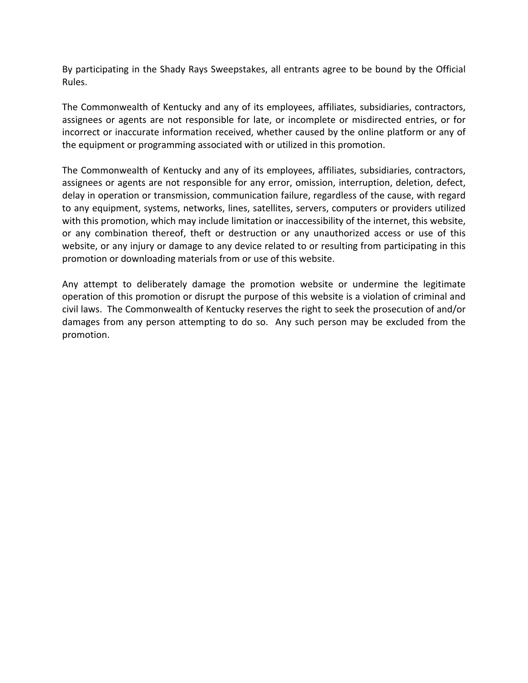By participating in the Shady Rays Sweepstakes, all entrants agree to be bound by the Official Rules.

The Commonwealth of Kentucky and any of its employees, affiliates, subsidiaries, contractors, assignees or agents are not responsible for late, or incomplete or misdirected entries, or for incorrect or inaccurate information received, whether caused by the online platform or any of the equipment or programming associated with or utilized in this promotion.

The Commonwealth of Kentucky and any of its employees, affiliates, subsidiaries, contractors, assignees or agents are not responsible for any error, omission, interruption, deletion, defect, delay in operation or transmission, communication failure, regardless of the cause, with regard to any equipment, systems, networks, lines, satellites, servers, computers or providers utilized with this promotion, which may include limitation or inaccessibility of the internet, this website, or any combination thereof, theft or destruction or any unauthorized access or use of this website, or any injury or damage to any device related to or resulting from participating in this promotion or downloading materials from or use of this website.

Any attempt to deliberately damage the promotion website or undermine the legitimate operation of this promotion or disrupt the purpose of this website is a violation of criminal and civil laws. The Commonwealth of Kentucky reserves the right to seek the prosecution of and/or damages from any person attempting to do so. Any such person may be excluded from the promotion.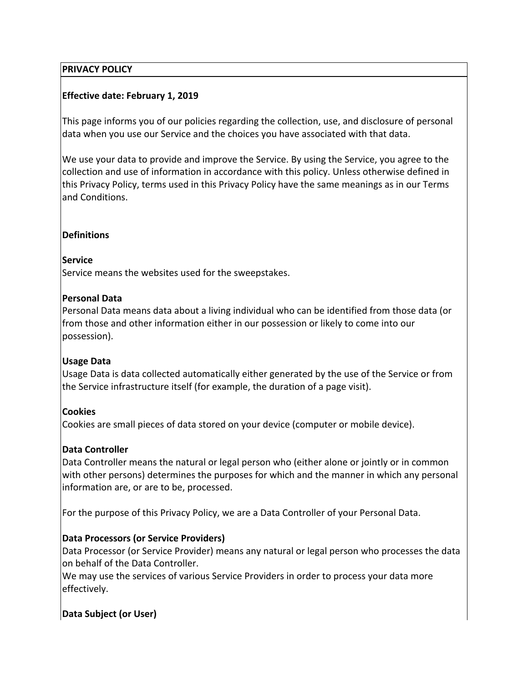#### **PRIVACY POLICY**

#### **Effective date: February 1, 2019**

This page informs you of our policies regarding the collection, use, and disclosure of personal data when you use our Service and the choices you have associated with that data.

We use your data to provide and improve the Service. By using the Service, you agree to the collection and use of information in accordance with this policy. Unless otherwise defined in this Privacy Policy, terms used in this Privacy Policy have the same meanings as in our Terms and Conditions.

#### **Definitions**

#### **Service**

Service means the websites used for the sweepstakes.

#### **Personal Data**

Personal Data means data about a living individual who can be identified from those data (or from those and other information either in our possession or likely to come into our possession).

#### **Usage Data**

Usage Data is data collected automatically either generated by the use of the Service or from the Service infrastructure itself (for example, the duration of a page visit).

#### **Cookies**

Cookies are small pieces of data stored on your device (computer or mobile device).

#### **Data Controller**

Data Controller means the natural or legal person who (either alone or jointly or in common with other persons) determines the purposes for which and the manner in which any personal information are, or are to be, processed.

For the purpose of this Privacy Policy, we are a Data Controller of your Personal Data.

#### **Data Processors (or Service Providers)**

Data Processor (or Service Provider) means any natural or legal person who processes the data on behalf of the Data Controller.

We may use the services of various Service Providers in order to process your data more effectively.

#### **Data Subject (or User)**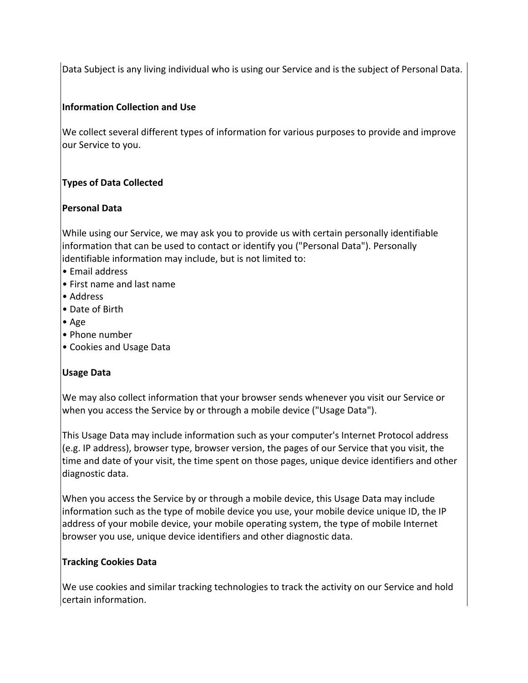Data Subject is any living individual who is using our Service and is the subject of Personal Data.

### **Information Collection and Use**

We collect several different types of information for various purposes to provide and improve our Service to you.

# **Types of Data Collected**

### **Personal Data**

While using our Service, we may ask you to provide us with certain personally identifiable information that can be used to contact or identify you ("Personal Data"). Personally identifiable information may include, but is not limited to:

- Email address
- First name and last name
- Address
- Date of Birth
- Age
- Phone number
- Cookies and Usage Data

# **Usage Data**

We may also collect information that your browser sends whenever you visit our Service or when you access the Service by or through a mobile device ("Usage Data").

This Usage Data may include information such as your computer's Internet Protocol address (e.g. IP address), browser type, browser version, the pages of our Service that you visit, the time and date of your visit, the time spent on those pages, unique device identifiers and other diagnostic data.

When you access the Service by or through a mobile device, this Usage Data may include information such as the type of mobile device you use, your mobile device unique ID, the IP address of your mobile device, your mobile operating system, the type of mobile Internet browser you use, unique device identifiers and other diagnostic data.

### **Tracking Cookies Data**

We use cookies and similar tracking technologies to track the activity on our Service and hold certain information.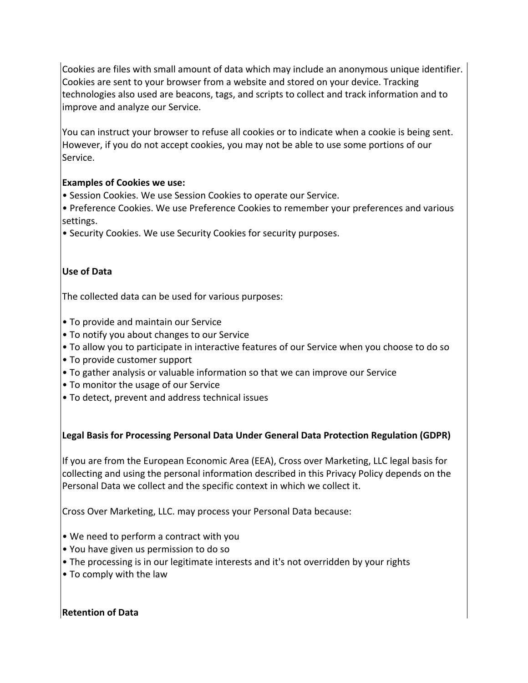Cookies are files with small amount of data which may include an anonymous unique identifier. Cookies are sent to your browser from a website and stored on your device. Tracking technologies also used are beacons, tags, and scripts to collect and track information and to improve and analyze our Service.

You can instruct your browser to refuse all cookies or to indicate when a cookie is being sent. However, if you do not accept cookies, you may not be able to use some portions of our Service.

### **Examples of Cookies we use:**

• Session Cookies. We use Session Cookies to operate our Service.

• Preference Cookies. We use Preference Cookies to remember your preferences and various settings.

• Security Cookies. We use Security Cookies for security purposes.

### **Use of Data**

The collected data can be used for various purposes:

• To provide and maintain our Service

- To notify you about changes to our Service
- To allow you to participate in interactive features of our Service when you choose to do so
- To provide customer support
- To gather analysis or valuable information so that we can improve our Service
- To monitor the usage of our Service
- To detect, prevent and address technical issues

# **Legal Basis for Processing Personal Data Under General Data Protection Regulation (GDPR)**

If you are from the European Economic Area (EEA), Cross over Marketing, LLC legal basis for collecting and using the personal information described in this Privacy Policy depends on the Personal Data we collect and the specific context in which we collect it.

Cross Over Marketing, LLC. may process your Personal Data because:

- We need to perform a contract with you
- You have given us permission to do so
- The processing is in our legitimate interests and it's not overridden by your rights
- To comply with the law

### **Retention of Data**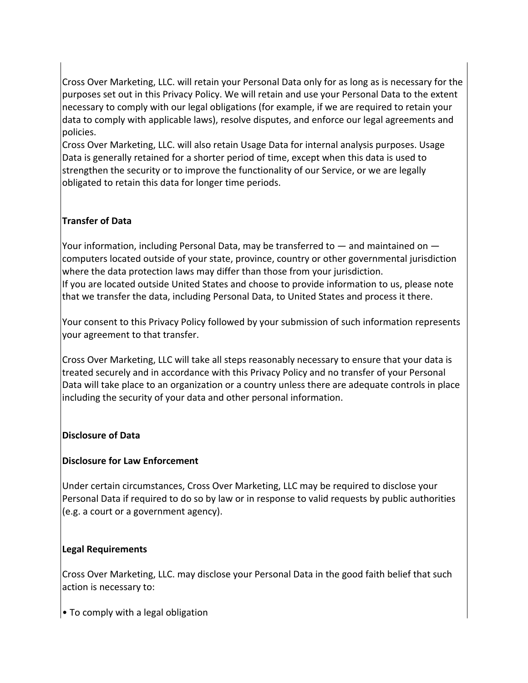Cross Over Marketing, LLC. will retain your Personal Data only for as long as is necessary for the purposes set out in this Privacy Policy. We will retain and use your Personal Data to the extent necessary to comply with our legal obligations (for example, if we are required to retain your data to comply with applicable laws), resolve disputes, and enforce our legal agreements and policies.

Cross Over Marketing, LLC. will also retain Usage Data for internal analysis purposes. Usage Data is generally retained for a shorter period of time, except when this data is used to strengthen the security or to improve the functionality of our Service, or we are legally obligated to retain this data for longer time periods.

### **Transfer of Data**

Your information, including Personal Data, may be transferred to  $-$  and maintained on  $$ computers located outside of your state, province, country or other governmental jurisdiction where the data protection laws may differ than those from your jurisdiction. If you are located outside United States and choose to provide information to us, please note that we transfer the data, including Personal Data, to United States and process it there.

Your consent to this Privacy Policy followed by your submission of such information represents your agreement to that transfer.

Cross Over Marketing, LLC will take all steps reasonably necessary to ensure that your data is treated securely and in accordance with this Privacy Policy and no transfer of your Personal Data will take place to an organization or a country unless there are adequate controls in place including the security of your data and other personal information.

### **Disclosure of Data**

### **Disclosure for Law Enforcement**

Under certain circumstances, Cross Over Marketing, LLC may be required to disclose your Personal Data if required to do so by law or in response to valid requests by public authorities (e.g. a court or a government agency).

### **Legal Requirements**

Cross Over Marketing, LLC. may disclose your Personal Data in the good faith belief that such action is necessary to:

• To comply with a legal obligation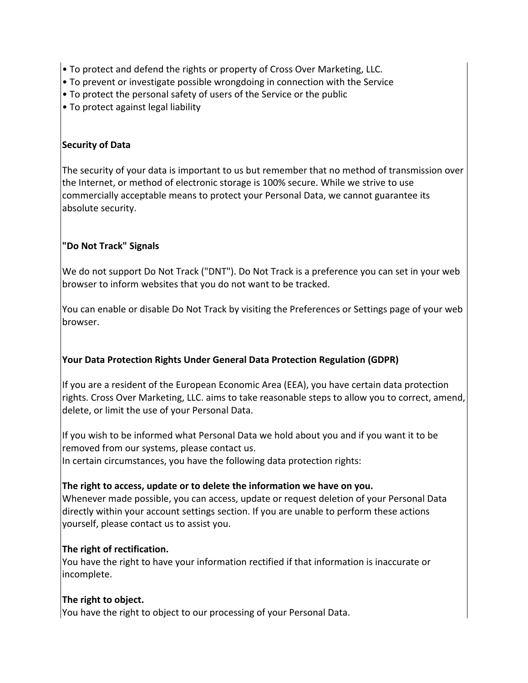- To protect and defend the rights or property of Cross Over Marketing, LLC.
- To prevent or investigate possible wrongdoing in connection with the Service
- To protect the personal safety of users of the Service or the public
- To protect against legal liability

# **Security of Data**

The security of your data is important to us but remember that no method of transmission over the Internet, or method of electronic storage is 100% secure. While we strive to use commercially acceptable means to protect your Personal Data, we cannot guarantee its absolute security.

# **"Do Not Track" Signals**

We do not support Do Not Track ("DNT"). Do Not Track is a preference you can set in your web browser to inform websites that you do not want to be tracked.

You can enable or disable Do Not Track by visiting the Preferences or Settings page of your web browser.

# **Your Data Protection Rights Under General Data Protection Regulation (GDPR)**

If you are a resident of the European Economic Area (EEA), you have certain data protection rights. Cross Over Marketing, LLC. aims to take reasonable steps to allow you to correct, amend, delete, or limit the use of your Personal Data.

If you wish to be informed what Personal Data we hold about you and if you want it to be removed from our systems, please contact us.

In certain circumstances, you have the following data protection rights:

# **The right to access, update or to delete the information we have on you.**

Whenever made possible, you can access, update or request deletion of your Personal Data directly within your account settings section. If you are unable to perform these actions yourself, please contact us to assist you.

# **The right of rectification.**

You have the right to have your information rectified if that information is inaccurate or incomplete.

# **The right to object.**

You have the right to object to our processing of your Personal Data.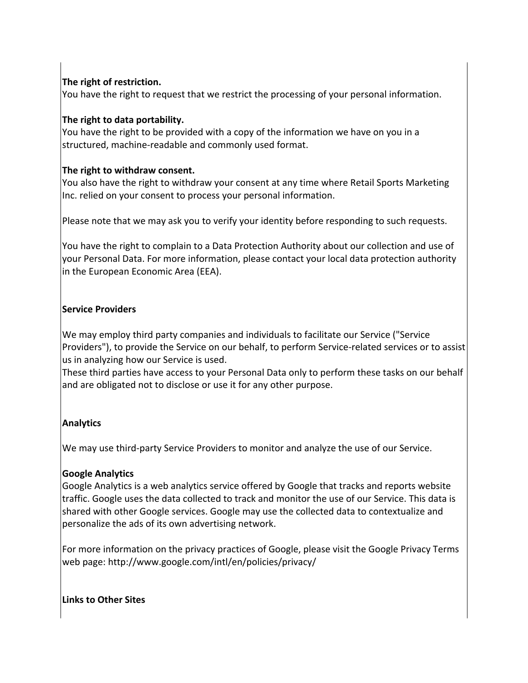# **The right of restriction.**

You have the right to request that we restrict the processing of your personal information.

### **The right to data portability.**

You have the right to be provided with a copy of the information we have on you in a structured, machine-readable and commonly used format.

# **The right to withdraw consent.**

You also have the right to withdraw your consent at any time where Retail Sports Marketing Inc. relied on your consent to process your personal information.

Please note that we may ask you to verify your identity before responding to such requests.

You have the right to complain to a Data Protection Authority about our collection and use of your Personal Data. For more information, please contact your local data protection authority in the European Economic Area (EEA).

### **Service Providers**

We may employ third party companies and individuals to facilitate our Service ("Service Providers"), to provide the Service on our behalf, to perform Service-related services or to assist us in analyzing how our Service is used.

These third parties have access to your Personal Data only to perform these tasks on our behalf and are obligated not to disclose or use it for any other purpose.

# **Analytics**

We may use third-party Service Providers to monitor and analyze the use of our Service.

# **Google Analytics**

Google Analytics is a web analytics service offered by Google that tracks and reports website traffic. Google uses the data collected to track and monitor the use of our Service. This data is shared with other Google services. Google may use the collected data to contextualize and personalize the ads of its own advertising network.

For more information on the privacy practices of Google, please visit the Google Privacy Terms web page: http://www.google.com/intl/en/policies/privacy/

**Links to Other Sites**